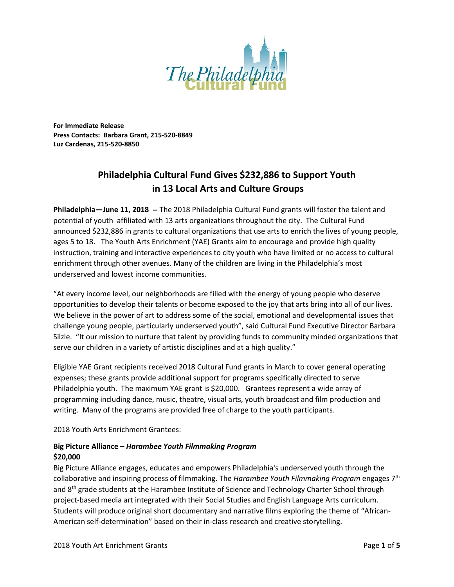

**For Immediate Release Press Contacts: Barbara Grant, 215-520-8849 Luz Cardenas, 215-520-8850**

# **Philadelphia Cultural Fund Gives \$232,886 to Support Youth in 13 Local Arts and Culture Groups**

**Philadelphia—June 11, 2018 --** The 2018 Philadelphia Cultural Fund grants will foster the talent and potential of youth affiliated with 13 arts organizations throughout the city. The Cultural Fund announced \$232,886 in grants to cultural organizations that use arts to enrich the lives of young people, ages 5 to 18. The Youth Arts Enrichment (YAE) Grants aim to encourage and provide high quality instruction, training and interactive experiences to city youth who have limited or no access to cultural enrichment through other avenues. Many of the children are living in the Philadelphia's most underserved and lowest income communities.

"At every income level, our neighborhoods are filled with the energy of young people who deserve opportunities to develop their talents or become exposed to the joy that arts bring into all of our lives. We believe in the power of art to address some of the social, emotional and developmental issues that challenge young people, particularly underserved youth", said Cultural Fund Executive Director Barbara Silzle. "It our mission to nurture that talent by providing funds to community minded organizations that serve our children in a variety of artistic disciplines and at a high quality."

Eligible YAE Grant recipients received 2018 Cultural Fund grants in March to cover general operating expenses; these grants provide additional support for programs specifically directed to serve Philadelphia youth. The maximum YAE grant is \$20,000. Grantees represent a wide array of programming including dance, music, theatre, visual arts, youth broadcast and film production and writing. Many of the programs are provided free of charge to the youth participants.

2018 Youth Arts Enrichment Grantees:

## **Big Picture Alliance –** *Harambee Youth Filmmaking Program* **\$20,000**

Big Picture Alliance engages, educates and empowers Philadelphia's underserved youth through the collaborative and inspiring process of filmmaking. The *Harambee Youth Filmmaking Program* engages 7 th and 8<sup>th</sup> grade students at the Harambee Institute of Science and Technology Charter School through project-based media art integrated with their Social Studies and English Language Arts curriculum. Students will produce original short documentary and narrative films exploring the theme of "African-American self-determination" based on their in-class research and creative storytelling.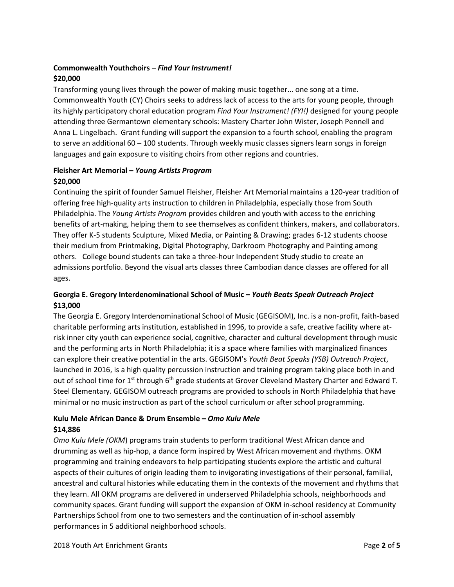## **Commonwealth Youthchoirs –** *Find Your Instrument!* **\$20,000**

Transforming young lives through the power of making music together... one song at a time. Commonwealth Youth (CY) Choirs seeks to address lack of access to the arts for young people, through its highly participatory choral education program *Find Your Instrument! (FYI!)* designed for young people attending three Germantown elementary schools: Mastery Charter John Wister, Joseph Pennell and Anna L. Lingelbach. Grant funding will support the expansion to a fourth school, enabling the program to serve an additional 60 – 100 students. Through weekly music classes signers learn songs in foreign languages and gain exposure to visiting choirs from other regions and countries.

## **Fleisher Art Memorial –** *Young Artists Program* **\$20,000**

Continuing the spirit of founder Samuel Fleisher, Fleisher Art Memorial maintains a 120-year tradition of offering free high-quality arts instruction to children in Philadelphia, especially those from South Philadelphia. The *Young Artists Program* provides children and youth with access to the enriching benefits of art-making, helping them to see themselves as confident thinkers, makers, and collaborators. They offer K-5 students Sculpture, Mixed Media, or Painting & Drawing; grades 6-12 students choose their medium from Printmaking, Digital Photography, Darkroom Photography and Painting among others. College bound students can take a three-hour Independent Study studio to create an admissions portfolio. Beyond the visual arts classes three Cambodian dance classes are offered for all ages.

## **Georgia E. Gregory Interdenominational School of Music –** *Youth Beats Speak Outreach Project* **\$13,000**

The Georgia E. Gregory Interdenominational School of Music (GEGISOM), Inc. is a non-profit, faith-based charitable performing arts institution, established in 1996, to provide a safe, creative facility where atrisk inner city youth can experience social, cognitive, character and cultural development through music and the performing arts in North Philadelphia; it is a space where families with marginalized finances can explore their creative potential in the arts. GEGISOM's *Youth Beat Speaks (YSB) Outreach Project*, launched in 2016, is a high quality percussion instruction and training program taking place both in and out of school time for 1<sup>st</sup> through 6<sup>th</sup> grade students at Grover Cleveland Mastery Charter and Edward T. Steel Elementary. GEGISOM outreach programs are provided to schools in North Philadelphia that have minimal or no music instruction as part of the school curriculum or after school programming.

## **Kulu Mele African Dance & Drum Ensemble –** *Omo Kulu Mele* **\$14,886**

*Omo Kulu Mele (OKM*) programs train students to perform traditional West African dance and drumming as well as hip-hop, a dance form inspired by West African movement and rhythms. OKM programming and training endeavors to help participating students explore the artistic and cultural aspects of their cultures of origin leading them to invigorating investigations of their personal, familial, ancestral and cultural histories while educating them in the contexts of the movement and rhythms that they learn. All OKM programs are delivered in underserved Philadelphia schools, neighborhoods and community spaces. Grant funding will support the expansion of OKM in-school residency at Community Partnerships School from one to two semesters and the continuation of in-school assembly performances in 5 additional neighborhood schools.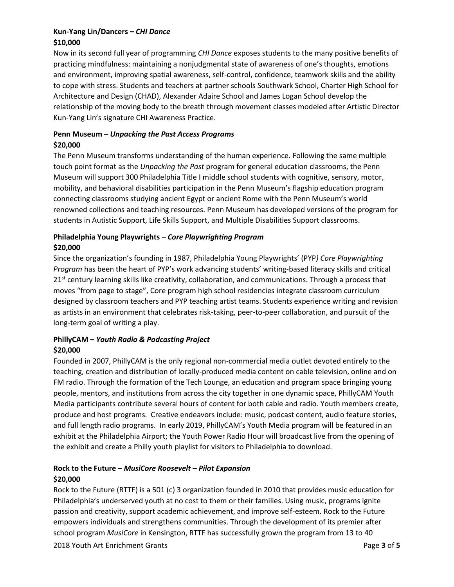## **Kun-Yang Lin/Dancers –** *CHI Dance* **\$10,000**

Now in its second full year of programming *CHI Dance* exposes students to the many positive benefits of practicing mindfulness: maintaining a nonjudgmental state of awareness of one's thoughts, emotions and environment, improving spatial awareness, self-control, confidence, teamwork skills and the ability to cope with stress. Students and teachers at partner schools Southwark School, Charter High School for Architecture and Design (CHAD), Alexander Adaire School and James Logan School develop the relationship of the moving body to the breath through movement classes modeled after Artistic Director Kun-Yang Lin's signature CHI Awareness Practice.

#### **Penn Museum –** *Unpacking the Past Access Programs* **\$20,000**

The Penn Museum transforms understanding of the human experience. Following the same multiple touch point format as the *Unpacking the Past* program for general education classrooms, the Penn Museum will support 300 Philadelphia Title I middle school students with cognitive, sensory, motor, mobility, and behavioral disabilities participation in the Penn Museum's flagship education program connecting classrooms studying ancient Egypt or ancient Rome with the Penn Museum's world renowned collections and teaching resources. Penn Museum has developed versions of the program for students in Autistic Support, Life Skills Support, and Multiple Disabilities Support classrooms.

## **Philadelphia Young Playwrights –** *Core Playwrighting Program* **\$20,000**

Since the organization's founding in 1987, Philadelphia Young Playwrights' (PYP*) Core Playwrighting Program* has been the heart of PYP's work advancing students' writing-based literacy skills and critical  $21<sup>st</sup>$  century learning skills like creativity, collaboration, and communications. Through a process that moves "from page to stage", Core program high school residencies integrate classroom curriculum designed by classroom teachers and PYP teaching artist teams. Students experience writing and revision as artists in an environment that celebrates risk-taking, peer-to-peer collaboration, and pursuit of the long-term goal of writing a play.

## **PhillyCAM –** *Youth Radio & Podcasting Project* **\$20,000**

Founded in 2007, PhillyCAM is the only regional non-commercial media outlet devoted entirely to the teaching, creation and distribution of locally-produced media content on cable television, online and on FM radio. Through the formation of the Tech Lounge, an education and program space bringing young people, mentors, and institutions from across the city together in one dynamic space, PhillyCAM Youth Media participants contribute several hours of content for both cable and radio. Youth members create, produce and host programs. Creative endeavors include: music, podcast content, audio feature stories, and full length radio programs. In early 2019, PhillyCAM's Youth Media program will be featured in an exhibit at the Philadelphia Airport; the Youth Power Radio Hour will broadcast live from the opening of the exhibit and create a Philly youth playlist for visitors to Philadelphia to download.

## **Rock to the Future –** *MusiCore Roosevelt – Pilot Expansion* **\$20,000**

Rock to the Future (RTTF) is a 501 (c) 3 organization founded in 2010 that provides music education for Philadelphia's underserved youth at no cost to them or their families. Using music, programs ignite passion and creativity, support academic achievement, and improve self-esteem. Rock to the Future empowers individuals and strengthens communities. Through the development of its premier after school program *MusiCore* in Kensington, RTTF has successfully grown the program from 13 to 40

2018 Youth Art Enrichment Grants Page **3** of **5**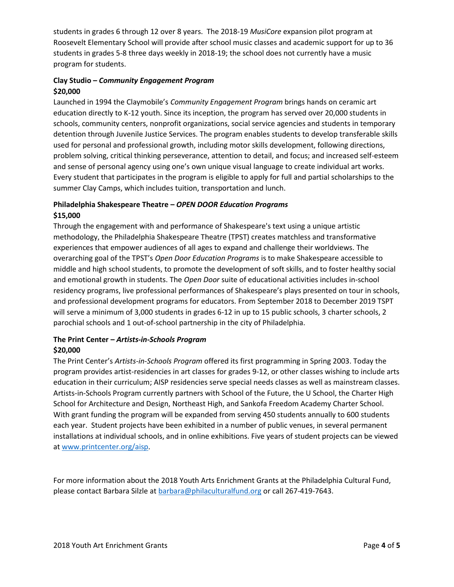students in grades 6 through 12 over 8 years. The 2018-19 *MusiCore* expansion pilot program at Roosevelt Elementary School will provide after school music classes and academic support for up to 36 students in grades 5-8 three days weekly in 2018-19; the school does not currently have a music program for students.

## **Clay Studio –** *Community Engagement Program* **\$20,000**

Launched in 1994 the Claymobile's *Community Engagement Program* brings hands on ceramic art education directly to K-12 youth. Since its inception, the program has served over 20,000 students in schools, community centers, nonprofit organizations, social service agencies and students in temporary detention through Juvenile Justice Services. The program enables students to develop transferable skills used for personal and professional growth, including motor skills development, following directions, problem solving, critical thinking perseverance, attention to detail, and focus; and increased self-esteem and sense of personal agency using one's own unique visual language to create individual art works. Every student that participates in the program is eligible to apply for full and partial scholarships to the summer Clay Camps, which includes tuition, transportation and lunch.

## **Philadelphia Shakespeare Theatre –** *OPEN DOOR Education Programs* **\$15,000**

Through the engagement with and performance of Shakespeare's text using a unique artistic methodology, the Philadelphia Shakespeare Theatre (TPST) creates matchless and transformative experiences that empower audiences of all ages to expand and challenge their worldviews. The overarching goal of the TPST's *Open Door Education Programs* is to make Shakespeare accessible to middle and high school students, to promote the development of soft skills, and to foster healthy social and emotional growth in students. The *Open Door* suite of educational activities includes in-school residency programs, live professional performances of Shakespeare's plays presented on tour in schools, and professional development programs for educators. From September 2018 to December 2019 TSPT will serve a minimum of 3,000 students in grades 6-12 in up to 15 public schools, 3 charter schools, 2 parochial schools and 1 out-of-school partnership in the city of Philadelphia.

## **The Print Center –** *Artists-in-Schools Program* **\$20,000**

The Print Center's *Artists-in-Schools Program* offered its first programming in Spring 2003. Today the program provides artist-residencies in art classes for grades 9-12, or other classes wishing to include arts education in their curriculum; AISP residencies serve special needs classes as well as mainstream classes. Artists-in-Schools Program currently partners with School of the Future, the U School, the Charter High School for Architecture and Design, Northeast High, and Sankofa Freedom Academy Charter School. With grant funding the program will be expanded from serving 450 students annually to 600 students each year. Student projects have been exhibited in a number of public venues, in several permanent installations at individual schools, and in online exhibitions. Five years of student projects can be viewed a[t www.printcenter.org/aisp.](http://www.printcenter.org/aisp)

For more information about the 2018 Youth Arts Enrichment Grants at the Philadelphia Cultural Fund, please contact Barbara Silzle at **barbara@philaculturalfund.org** or call 267-419-7643.